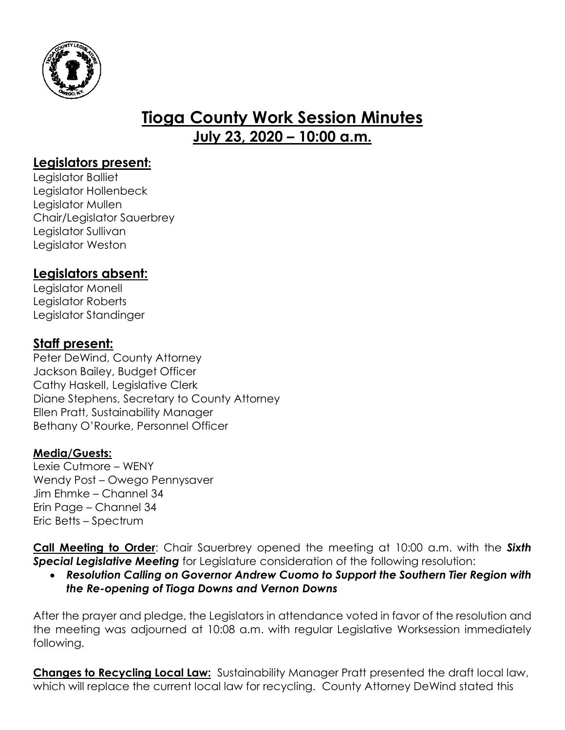

# **Tioga County Work Session Minutes July 23, 2020 – 10:00 a.m.**

# **Legislators present:**

Legislator Balliet Legislator Hollenbeck Legislator Mullen Chair/Legislator Sauerbrey Legislator Sullivan Legislator Weston

# **Legislators absent:**

Legislator Monell Legislator Roberts Legislator Standinger

## **Staff present:**

Peter DeWind, County Attorney Jackson Bailey, Budget Officer Cathy Haskell, Legislative Clerk Diane Stephens, Secretary to County Attorney Ellen Pratt, Sustainability Manager Bethany O'Rourke, Personnel Officer

## **Media/Guests:**

Lexie Cutmore – WENY Wendy Post – Owego Pennysaver Jim Ehmke – Channel 34 Erin Page – Channel 34 Eric Betts – Spectrum

**Call Meeting to Order**: Chair Sauerbrey opened the meeting at 10:00 a.m. with the *Sixth Special Legislative Meeting* for Legislature consideration of the following resolution:

 *Resolution Calling on Governor Andrew Cuomo to Support the Southern Tier Region with the Re-opening of Tioga Downs and Vernon Downs*

After the prayer and pledge, the Legislators in attendance voted in favor of the resolution and the meeting was adjourned at 10:08 a.m. with regular Legislative Worksession immediately following.

**Changes to Recycling Local Law:** Sustainability Manager Pratt presented the draft local law, which will replace the current local law for recycling. County Attorney DeWind stated this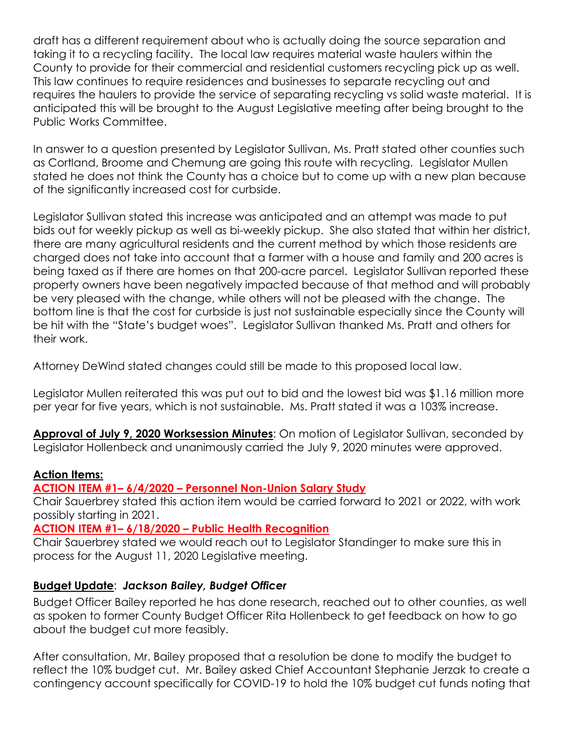draft has a different requirement about who is actually doing the source separation and taking it to a recycling facility. The local law requires material waste haulers within the County to provide for their commercial and residential customers recycling pick up as well. This law continues to require residences and businesses to separate recycling out and requires the haulers to provide the service of separating recycling vs solid waste material. It is anticipated this will be brought to the August Legislative meeting after being brought to the Public Works Committee.

In answer to a question presented by Legislator Sullivan, Ms. Pratt stated other counties such as Cortland, Broome and Chemung are going this route with recycling. Legislator Mullen stated he does not think the County has a choice but to come up with a new plan because of the significantly increased cost for curbside.

Legislator Sullivan stated this increase was anticipated and an attempt was made to put bids out for weekly pickup as well as bi-weekly pickup. She also stated that within her district, there are many agricultural residents and the current method by which those residents are charged does not take into account that a farmer with a house and family and 200 acres is being taxed as if there are homes on that 200-acre parcel. Legislator Sullivan reported these property owners have been negatively impacted because of that method and will probably be very pleased with the change, while others will not be pleased with the change. The bottom line is that the cost for curbside is just not sustainable especially since the County will be hit with the "State's budget woes". Legislator Sullivan thanked Ms. Pratt and others for their work.

Attorney DeWind stated changes could still be made to this proposed local law.

Legislator Mullen reiterated this was put out to bid and the lowest bid was \$1.16 million more per year for five years, which is not sustainable. Ms. Pratt stated it was a 103% increase.

**Approval of July 9, 2020 Worksession Minutes**: On motion of Legislator Sullivan, seconded by Legislator Hollenbeck and unanimously carried the July 9, 2020 minutes were approved.

#### **Action Items:**

### **ACTION ITEM #1– 6/4/2020 – Personnel Non-Union Salary Study**

Chair Sauerbrey stated this action item would be carried forward to 2021 or 2022, with work possibly starting in 2021.

**ACTION ITEM #1– 6/18/2020 – Public Health Recognition**

Chair Sauerbrey stated we would reach out to Legislator Standinger to make sure this in process for the August 11, 2020 Legislative meeting.

### **Budget Update**: *Jackson Bailey, Budget Officer*

Budget Officer Bailey reported he has done research, reached out to other counties, as well as spoken to former County Budget Officer Rita Hollenbeck to get feedback on how to go about the budget cut more feasibly.

After consultation, Mr. Bailey proposed that a resolution be done to modify the budget to reflect the 10% budget cut. Mr. Bailey asked Chief Accountant Stephanie Jerzak to create a contingency account specifically for COVID-19 to hold the 10% budget cut funds noting that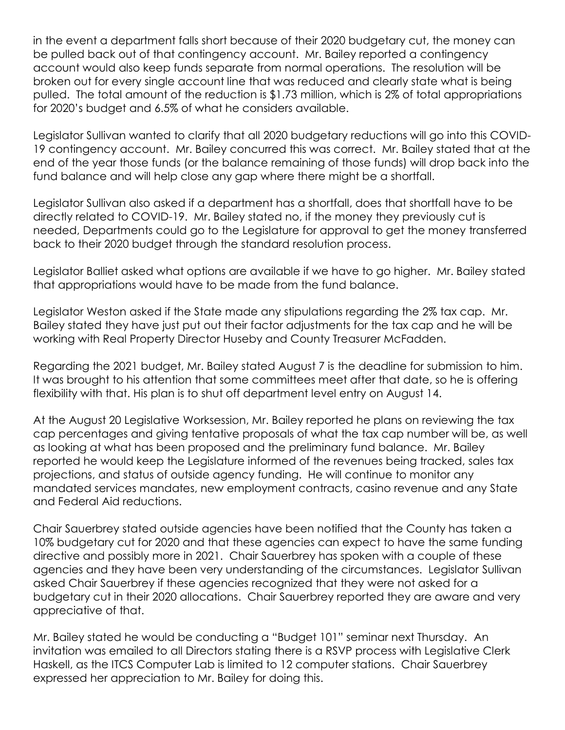in the event a department falls short because of their 2020 budgetary cut, the money can be pulled back out of that contingency account. Mr. Bailey reported a contingency account would also keep funds separate from normal operations. The resolution will be broken out for every single account line that was reduced and clearly state what is being pulled. The total amount of the reduction is \$1.73 million, which is 2% of total appropriations for 2020's budget and 6.5% of what he considers available.

Legislator Sullivan wanted to clarify that all 2020 budgetary reductions will go into this COVID-19 contingency account. Mr. Bailey concurred this was correct. Mr. Bailey stated that at the end of the year those funds (or the balance remaining of those funds) will drop back into the fund balance and will help close any gap where there might be a shortfall.

Legislator Sullivan also asked if a department has a shortfall, does that shortfall have to be directly related to COVID-19. Mr. Bailey stated no, if the money they previously cut is needed, Departments could go to the Legislature for approval to get the money transferred back to their 2020 budget through the standard resolution process.

Legislator Balliet asked what options are available if we have to go higher. Mr. Bailey stated that appropriations would have to be made from the fund balance.

Legislator Weston asked if the State made any stipulations regarding the 2% tax cap. Mr. Bailey stated they have just put out their factor adjustments for the tax cap and he will be working with Real Property Director Huseby and County Treasurer McFadden.

Regarding the 2021 budget, Mr. Bailey stated August 7 is the deadline for submission to him. It was brought to his attention that some committees meet after that date, so he is offering flexibility with that. His plan is to shut off department level entry on August 14.

At the August 20 Legislative Worksession, Mr. Bailey reported he plans on reviewing the tax cap percentages and giving tentative proposals of what the tax cap number will be, as well as looking at what has been proposed and the preliminary fund balance. Mr. Bailey reported he would keep the Legislature informed of the revenues being tracked, sales tax projections, and status of outside agency funding. He will continue to monitor any mandated services mandates, new employment contracts, casino revenue and any State and Federal Aid reductions.

Chair Sauerbrey stated outside agencies have been notified that the County has taken a 10% budgetary cut for 2020 and that these agencies can expect to have the same funding directive and possibly more in 2021. Chair Sauerbrey has spoken with a couple of these agencies and they have been very understanding of the circumstances. Legislator Sullivan asked Chair Sauerbrey if these agencies recognized that they were not asked for a budgetary cut in their 2020 allocations. Chair Sauerbrey reported they are aware and very appreciative of that.

Mr. Bailey stated he would be conducting a "Budget 101" seminar next Thursday. An invitation was emailed to all Directors stating there is a RSVP process with Legislative Clerk Haskell, as the ITCS Computer Lab is limited to 12 computer stations. Chair Sauerbrey expressed her appreciation to Mr. Bailey for doing this.